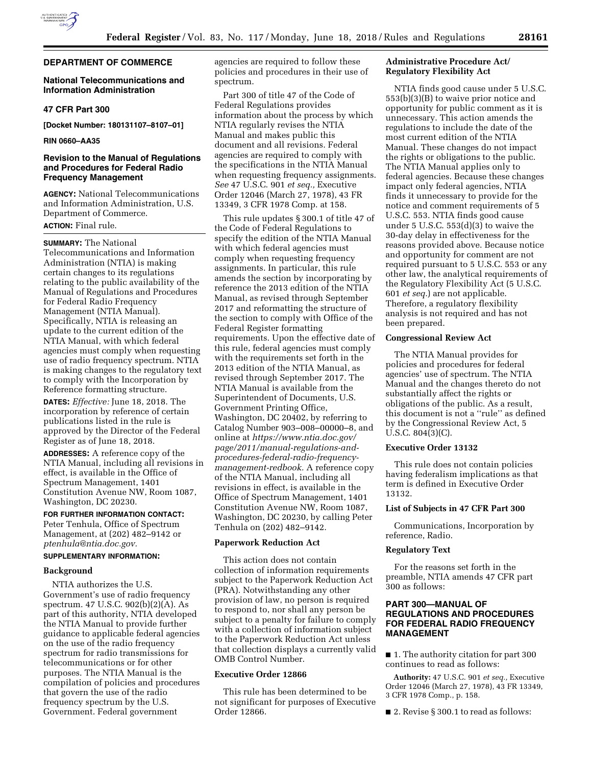

### **National Telecommunications and Information Administration**

### **47 CFR Part 300**

**[Docket Number: 180131107–8107–01]** 

**RIN 0660–AA35** 

# **Revision to the Manual of Regulations and Procedures for Federal Radio Frequency Management**

**AGENCY:** National Telecommunications and Information Administration, U.S. Department of Commerce.

# **ACTION:** Final rule.

**SUMMARY:** The National Telecommunications and Information Administration (NTIA) is making certain changes to its regulations relating to the public availability of the Manual of Regulations and Procedures for Federal Radio Frequency Management (NTIA Manual). Specifically, NTIA is releasing an update to the current edition of the NTIA Manual, with which federal agencies must comply when requesting use of radio frequency spectrum. NTIA is making changes to the regulatory text to comply with the Incorporation by Reference formatting structure.

**DATES:** *Effective:* June 18, 2018. The incorporation by reference of certain publications listed in the rule is approved by the Director of the Federal Register as of June 18, 2018.

**ADDRESSES:** A reference copy of the NTIA Manual, including all revisions in effect, is available in the Office of Spectrum Management, 1401 Constitution Avenue NW, Room 1087, Washington, DC 20230.

# **FOR FURTHER INFORMATION CONTACT:**

Peter Tenhula, Office of Spectrum Management, at (202) 482–9142 or *[ptenhula@ntia.doc.gov.](mailto:ptenhula@ntia.doc.gov)* 

### **SUPPLEMENTARY INFORMATION:**

#### **Background**

NTIA authorizes the U.S. Government's use of radio frequency spectrum. 47 U.S.C. 902(b)(2)(A). As part of this authority, NTIA developed the NTIA Manual to provide further guidance to applicable federal agencies on the use of the radio frequency spectrum for radio transmissions for telecommunications or for other purposes. The NTIA Manual is the compilation of policies and procedures that govern the use of the radio frequency spectrum by the U.S. Government. Federal government

agencies are required to follow these policies and procedures in their use of spectrum.

Part 300 of title 47 of the Code of Federal Regulations provides information about the process by which NTIA regularly revises the NTIA Manual and makes public this document and all revisions. Federal agencies are required to comply with the specifications in the NTIA Manual when requesting frequency assignments. *See* 47 U.S.C. 901 *et seq.,* Executive Order 12046 (March 27, 1978), 43 FR 13349, 3 CFR 1978 Comp. at 158.

This rule updates § 300.1 of title 47 of the Code of Federal Regulations to specify the edition of the NTIA Manual with which federal agencies must comply when requesting frequency assignments. In particular, this rule amends the section by incorporating by reference the 2013 edition of the NTIA Manual, as revised through September 2017 and reformatting the structure of the section to comply with Office of the Federal Register formatting requirements. Upon the effective date of this rule, federal agencies must comply with the requirements set forth in the 2013 edition of the NTIA Manual, as revised through September 2017. The NTIA Manual is available from the Superintendent of Documents, U.S. Government Printing Office, Washington, DC 20402, by referring to Catalog Number 903–008–00000–8, and online at *[https://www.ntia.doc.gov/](https://www.ntia.doc.gov/page/2011/manual-regulations-and-procedures-federal-radio-frequency-management-redbook)  [page/2011/manual-regulations-and](https://www.ntia.doc.gov/page/2011/manual-regulations-and-procedures-federal-radio-frequency-management-redbook)[procedures-federal-radio-frequency](https://www.ntia.doc.gov/page/2011/manual-regulations-and-procedures-federal-radio-frequency-management-redbook)[management-redbook.](https://www.ntia.doc.gov/page/2011/manual-regulations-and-procedures-federal-radio-frequency-management-redbook)* A reference copy of the NTIA Manual, including all revisions in effect, is available in the Office of Spectrum Management, 1401 Constitution Avenue NW, Room 1087, Washington, DC 20230, by calling Peter Tenhula on (202) 482–9142.

### **Paperwork Reduction Act**

This action does not contain collection of information requirements subject to the Paperwork Reduction Act (PRA). Notwithstanding any other provision of law, no person is required to respond to, nor shall any person be subject to a penalty for failure to comply with a collection of information subject to the Paperwork Reduction Act unless that collection displays a currently valid OMB Control Number.

# **Executive Order 12866**

This rule has been determined to be not significant for purposes of Executive Order 12866.

# **Administrative Procedure Act/ Regulatory Flexibility Act**

NTIA finds good cause under 5 U.S.C. 553(b)(3)(B) to waive prior notice and opportunity for public comment as it is unnecessary. This action amends the regulations to include the date of the most current edition of the NTIA Manual. These changes do not impact the rights or obligations to the public. The NTIA Manual applies only to federal agencies. Because these changes impact only federal agencies, NTIA finds it unnecessary to provide for the notice and comment requirements of 5 U.S.C. 553. NTIA finds good cause under 5 U.S.C. 553(d)(3) to waive the 30-day delay in effectiveness for the reasons provided above. Because notice and opportunity for comment are not required pursuant to 5 U.S.C. 553 or any other law, the analytical requirements of the Regulatory Flexibility Act (5 U.S.C. 601 *et seq.*) are not applicable. Therefore, a regulatory flexibility analysis is not required and has not been prepared.

#### **Congressional Review Act**

The NTIA Manual provides for policies and procedures for federal agencies' use of spectrum. The NTIA Manual and the changes thereto do not substantially affect the rights or obligations of the public. As a result, this document is not a ''rule'' as defined by the Congressional Review Act, 5 U.S.C. 804(3)(C).

# **Executive Order 13132**

This rule does not contain policies having federalism implications as that term is defined in Executive Order 13132.

#### **List of Subjects in 47 CFR Part 300**

Communications, Incorporation by reference, Radio.

#### **Regulatory Text**

For the reasons set forth in the preamble, NTIA amends 47 CFR part 300 as follows:

# **PART 300—MANUAL OF REGULATIONS AND PROCEDURES FOR FEDERAL RADIO FREQUENCY MANAGEMENT**

■ 1. The authority citation for part 300 continues to read as follows:

**Authority:** 47 U.S.C. 901 *et seq.,* Executive Order 12046 (March 27, 1978), 43 FR 13349, 3 CFR 1978 Comp., p. 158.

■ 2. Revise § 300.1 to read as follows: